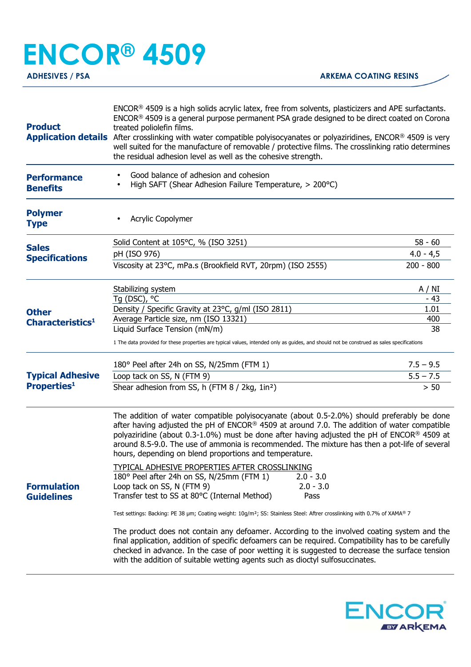## **ENCOR® 4509**

| <b>Product</b>                                                                                   | ENCOR <sup>®</sup> 4509 is a high solids acrylic latex, free from solvents, plasticizers and APE surfactants.<br>ENCOR® 4509 is a general purpose permanent PSA grade designed to be direct coated on Corona<br>treated poliolefin films.<br>Application details After crosslinking with water compatible polyisocyanates or polyaziridines, ENCOR <sup>®</sup> 4509 is very<br>well suited for the manufacture of removable / protective films. The crosslinking ratio determines<br>the residual adhesion level as well as the cohesive strength.                                                                                                                                                                                                                                                                                                                                                                                                                                                                                                                                                                                                                                                                            |             |  |
|--------------------------------------------------------------------------------------------------|--------------------------------------------------------------------------------------------------------------------------------------------------------------------------------------------------------------------------------------------------------------------------------------------------------------------------------------------------------------------------------------------------------------------------------------------------------------------------------------------------------------------------------------------------------------------------------------------------------------------------------------------------------------------------------------------------------------------------------------------------------------------------------------------------------------------------------------------------------------------------------------------------------------------------------------------------------------------------------------------------------------------------------------------------------------------------------------------------------------------------------------------------------------------------------------------------------------------------------|-------------|--|
| <b>Performance</b><br><b>Benefits</b>                                                            | Good balance of adhesion and cohesion<br>High SAFT (Shear Adhesion Failure Temperature, > 200°C)                                                                                                                                                                                                                                                                                                                                                                                                                                                                                                                                                                                                                                                                                                                                                                                                                                                                                                                                                                                                                                                                                                                               |             |  |
| <b>Polymer</b><br><b>Type</b>                                                                    | Acrylic Copolymer                                                                                                                                                                                                                                                                                                                                                                                                                                                                                                                                                                                                                                                                                                                                                                                                                                                                                                                                                                                                                                                                                                                                                                                                              |             |  |
| <b>Sales</b>                                                                                     | Solid Content at 105°C, % (ISO 3251)                                                                                                                                                                                                                                                                                                                                                                                                                                                                                                                                                                                                                                                                                                                                                                                                                                                                                                                                                                                                                                                                                                                                                                                           | $58 - 60$   |  |
| <b>Specifications</b><br><b>Other</b><br>Characteristics <sup>1</sup><br><b>Typical Adhesive</b> | pH (ISO 976)                                                                                                                                                                                                                                                                                                                                                                                                                                                                                                                                                                                                                                                                                                                                                                                                                                                                                                                                                                                                                                                                                                                                                                                                                   | $4.0 - 4.5$ |  |
|                                                                                                  | Viscosity at 23°C, mPa.s (Brookfield RVT, 20rpm) (ISO 2555)                                                                                                                                                                                                                                                                                                                                                                                                                                                                                                                                                                                                                                                                                                                                                                                                                                                                                                                                                                                                                                                                                                                                                                    | $200 - 800$ |  |
|                                                                                                  | Stabilizing system                                                                                                                                                                                                                                                                                                                                                                                                                                                                                                                                                                                                                                                                                                                                                                                                                                                                                                                                                                                                                                                                                                                                                                                                             | A / NI      |  |
|                                                                                                  | Tg (DSC), °C                                                                                                                                                                                                                                                                                                                                                                                                                                                                                                                                                                                                                                                                                                                                                                                                                                                                                                                                                                                                                                                                                                                                                                                                                   | - 43        |  |
|                                                                                                  | Density / Specific Gravity at 23°C, g/ml (ISO 2811)                                                                                                                                                                                                                                                                                                                                                                                                                                                                                                                                                                                                                                                                                                                                                                                                                                                                                                                                                                                                                                                                                                                                                                            | 1.01<br>400 |  |
|                                                                                                  | Average Particle size, nm (ISO 13321)<br>Liquid Surface Tension (mN/m)                                                                                                                                                                                                                                                                                                                                                                                                                                                                                                                                                                                                                                                                                                                                                                                                                                                                                                                                                                                                                                                                                                                                                         | 38          |  |
|                                                                                                  | 1 The data provided for these properties are typical values, intended only as guides, and should not be construed as sales specifications                                                                                                                                                                                                                                                                                                                                                                                                                                                                                                                                                                                                                                                                                                                                                                                                                                                                                                                                                                                                                                                                                      |             |  |
|                                                                                                  | 180° Peel after 24h on SS, N/25mm (FTM 1)                                                                                                                                                                                                                                                                                                                                                                                                                                                                                                                                                                                                                                                                                                                                                                                                                                                                                                                                                                                                                                                                                                                                                                                      | $7.5 - 9.5$ |  |
|                                                                                                  | Loop tack on SS, N (FTM 9)                                                                                                                                                                                                                                                                                                                                                                                                                                                                                                                                                                                                                                                                                                                                                                                                                                                                                                                                                                                                                                                                                                                                                                                                     | $5.5 - 7.5$ |  |
| <b>Properties1</b>                                                                               | Shear adhesion from SS, h (FTM 8 / 2kg, 1in <sup>2</sup> )                                                                                                                                                                                                                                                                                                                                                                                                                                                                                                                                                                                                                                                                                                                                                                                                                                                                                                                                                                                                                                                                                                                                                                     | $> 50$      |  |
| <b>Formulation</b><br><b>Guidelines</b>                                                          | The addition of water compatible polyisocyanate (about 0.5-2.0%) should preferably be done<br>after having adjusted the pH of $ENCOR®$ 4509 at around 7.0. The addition of water compatible<br>polyaziridine (about 0.3-1.0%) must be done after having adjusted the pH of ENCOR <sup>®</sup> 4509 at<br>around 8.5-9.0. The use of ammonia is recommended. The mixture has then a pot-life of several<br>hours, depending on blend proportions and temperature.<br><b>TYPICAL ADHESIVE PROPERTIES AFTER CROSSLINKING</b><br>180° Peel after 24h on SS, N/25mm (FTM 1)<br>$2.0 - 3.0$<br>Loop tack on SS, N (FTM 9)<br>$2.0 - 3.0$<br>Transfer test to SS at 80°C (Internal Method)<br>Pass<br>Test settings: Backing: PE 38 µm; Coating weight: 10g/m <sup>2</sup> ; SS: Stainless Steel: Aftrer crosslinking with 0.7% of XAMA® 7<br>The product does not contain any defoamer. According to the involved coating system and the<br>final application, addition of specific defoamers can be required. Compatibility has to be carefully<br>checked in advance. In the case of poor wetting it is suggested to decrease the surface tension<br>with the addition of suitable wetting agents such as dioctyl sulfosuccinates. |             |  |